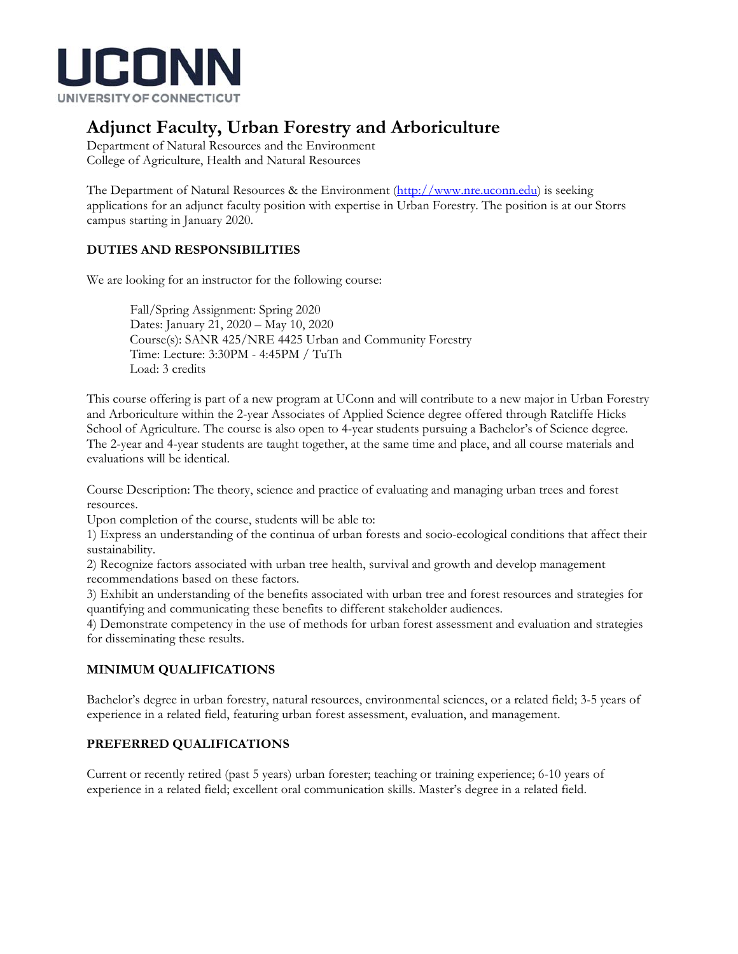

# **Adjunct Faculty, Urban Forestry and Arboriculture**

Department of Natural Resources and the Environment College of Agriculture, Health and Natural Resources

The Department of Natural Resources & the Environment (http://www.nre.uconn.edu) is seeking applications for an adjunct faculty position with expertise in Urban Forestry. The position is at our Storrs campus starting in January 2020.

### **DUTIES AND RESPONSIBILITIES**

We are looking for an instructor for the following course:

Fall/Spring Assignment: Spring 2020 Dates: January 21, 2020 – May 10, 2020 Course(s): SANR 425/NRE 4425 Urban and Community Forestry Time: Lecture: 3:30PM - 4:45PM / TuTh Load: 3 credits

This course offering is part of a new program at UConn and will contribute to a new major in Urban Forestry and Arboriculture within the 2-year Associates of Applied Science degree offered through Ratcliffe Hicks School of Agriculture. The course is also open to 4-year students pursuing a Bachelor's of Science degree. The 2-year and 4-year students are taught together, at the same time and place, and all course materials and evaluations will be identical.

Course Description: The theory, science and practice of evaluating and managing urban trees and forest resources.

Upon completion of the course, students will be able to:

1) Express an understanding of the continua of urban forests and socio-ecological conditions that affect their sustainability.

2) Recognize factors associated with urban tree health, survival and growth and develop management recommendations based on these factors.

3) Exhibit an understanding of the benefits associated with urban tree and forest resources and strategies for quantifying and communicating these benefits to different stakeholder audiences.

4) Demonstrate competency in the use of methods for urban forest assessment and evaluation and strategies for disseminating these results.

## **MINIMUM QUALIFICATIONS**

Bachelor's degree in urban forestry, natural resources, environmental sciences, or a related field; 3-5 years of experience in a related field, featuring urban forest assessment, evaluation, and management.

#### **PREFERRED QUALIFICATIONS**

Current or recently retired (past 5 years) urban forester; teaching or training experience; 6-10 years of experience in a related field; excellent oral communication skills. Master's degree in a related field.